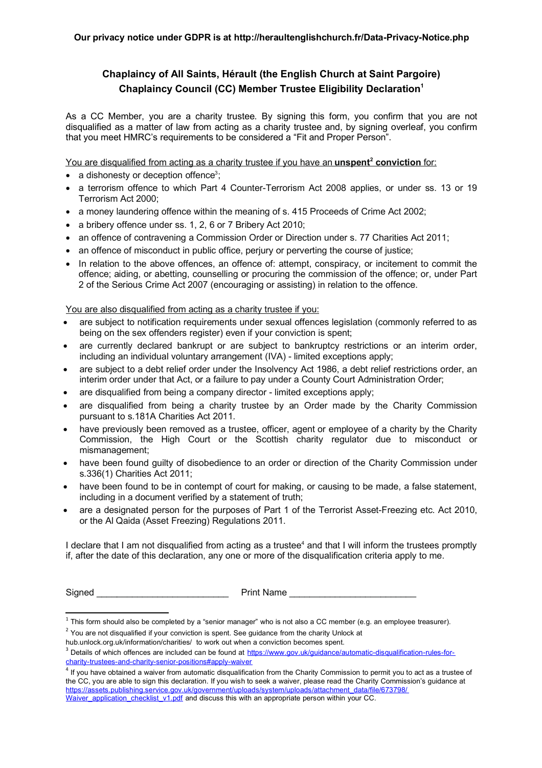## **Chaplaincy of All Saints, Hérault (the English Church at Saint Pargoire) Chaplaincy Council (CC) Member Trustee Eligibility Declaration<sup>1</sup>**

As a CC Member, you are a charity trustee. By signing this form, you confirm that you are not disqualified as a matter of law from acting as a charity trustee and, by signing overleaf, you confirm that you meet HMRC's requirements to be considered a "Fit and Proper Person".

You are disqualified from acting as a charity trustee if you have an **unspent<sup>2</sup> conviction** for:

- $\bullet$  a dishonesty or deception offence<sup>3</sup>;
- a terrorism offence to which Part 4 Counter-Terrorism Act 2008 applies, or under ss. 13 or 19 Terrorism Act 2000;
- a money laundering offence within the meaning of s. 415 Proceeds of Crime Act 2002;
- a bribery offence under ss. 1, 2, 6 or 7 Bribery Act 2010;
- an offence of contravening a Commission Order or Direction under s. 77 Charities Act 2011;
- an offence of misconduct in public office, perjury or perverting the course of justice;
- In relation to the above offences, an offence of: attempt, conspiracy, or incitement to commit the offence; aiding, or abetting, counselling or procuring the commission of the offence; or, under Part 2 of the Serious Crime Act 2007 (encouraging or assisting) in relation to the offence.

You are also disqualified from acting as a charity trustee if you:

- are subject to notification requirements under sexual offences legislation (commonly referred to as being on the sex offenders register) even if your conviction is spent;
- are currently declared bankrupt or are subject to bankruptcy restrictions or an interim order, including an individual voluntary arrangement (IVA) - limited exceptions apply;
- are subject to a debt relief order under the Insolvency Act 1986, a debt relief restrictions order, an interim order under that Act, or a failure to pay under a County Court Administration Order;
- are disqualified from being a company director limited exceptions apply;
- are disqualified from being a charity trustee by an Order made by the Charity Commission pursuant to s.181A Charities Act 2011.
- have previously been removed as a trustee, officer, agent or employee of a charity by the Charity Commission, the High Court or the Scottish charity regulator due to misconduct or mismanagement;
- have been found guilty of disobedience to an order or direction of the Charity Commission under s.336(1) Charities Act 2011;
- have been found to be in contempt of court for making, or causing to be made, a false statement, including in a document verified by a statement of truth;
- are a designated person for the purposes of Part 1 of the Terrorist Asset-Freezing etc. Act 2010, or the Al Qaida (Asset Freezing) Regulations 2011.

I declare that I am not disqualified from acting as a trustee<sup>4</sup> and that I will inform the trustees promptly if, after the date of this declaration, any one or more of the disqualification criteria apply to me.

Signed **Example 2 Signed Print Name**  $\overline{P}$ 

 $^1$  This form should also be completed by a "senior manager" who is not also a CC member (e.g. an employee treasurer).

 $2$  You are not disqualified if your conviction is spent. See guidance from the charity Unlock at

hub.unlock.org.uk/information/charities/ to work out when a conviction becomes spent.

<sup>&</sup>lt;sup>3</sup> Details of which offences are included can be found at https://www.gov.uk/guidance/automatic-disqualification-rules-forcharity-trustees-and-charity-senior-positions#apply-waiver

<sup>4</sup> If you have obtained a waiver from automatic disqualification from the Charity Commission to permit you to act as a trustee of the CC, you are able to sign this declaration. If you wish to seek a waiver, please read the Charity Commission's guidance at https://assets.publishing.service.gov.uk/government/uploads/system/uploads/attachment\_data/file/673798/ Waiver\_application\_checklist\_v1.pdf and discuss this with an appropriate person within your CC.